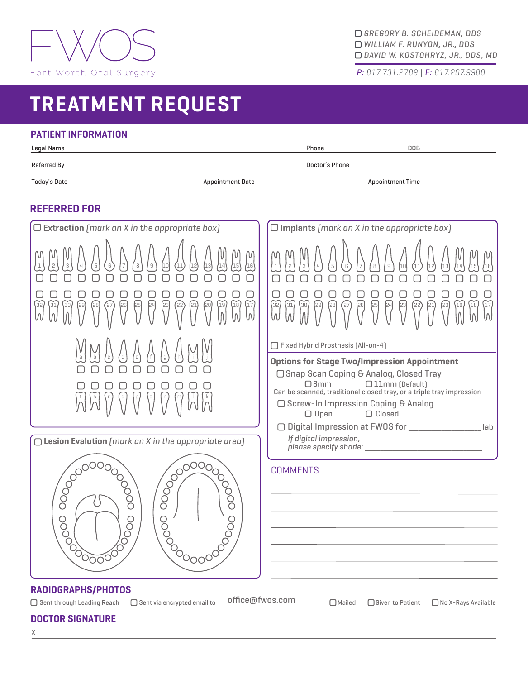

*GREGORY B. SCHEIDEMAN, DDS WILLIAM F. RUNYON, JR., DDS DAVID W. KOSTOHRYZ, JR., DDS, MD*

*P: 817.731.2789 | F: 817.207.9980*

# **TREATMENT REQUEST**

# **PATIENT INFORMATION**

| Legal Name   |                         | D <sub>O</sub> B<br>Phone |
|--------------|-------------------------|---------------------------|
| Referred By  |                         | Doctor's Phone            |
| Today's Date | <b>Appointment Date</b> | <b>Appointment Time</b>   |

# **REFERRED FOR**

| $\Box$ Extraction (mark an X in the appropriate box)                                                                                                                                  | $\Box$ Implants (mark an X in the appropriate box)                                                                                                                                                                                                                                |  |  |
|---------------------------------------------------------------------------------------------------------------------------------------------------------------------------------------|-----------------------------------------------------------------------------------------------------------------------------------------------------------------------------------------------------------------------------------------------------------------------------------|--|--|
| M<br>16'<br>18<br>17<br>h<br>N<br>W                                                                                                                                                   | 32<br>19<br>18<br>17<br>31<br>30,<br>$\Lambda'$<br>W<br>W                                                                                                                                                                                                                         |  |  |
|                                                                                                                                                                                       | □ Fixed Hybrid Prosthesis [All-on-4]                                                                                                                                                                                                                                              |  |  |
| $\rm{a}$<br>$\mathbb S$                                                                                                                                                               | <b>Options for Stage Two/Impression Appointment</b><br>□ Snap Scan Coping & Analog, Closed Tray<br>$\Box$ 8mm<br>□11mm (Default)<br>Can be scanned, traditional closed tray, or a triple tray impression<br>□ Screw-In Impression Coping & Analog<br>$\Box$ Closed<br>$\Box$ Open |  |  |
|                                                                                                                                                                                       | □ Digital Impression at FWOS for<br>If digital impression,                                                                                                                                                                                                                        |  |  |
| $\Box$ Lesion Evalution (mark an X in the appropriate area)                                                                                                                           |                                                                                                                                                                                                                                                                                   |  |  |
| 00000<br>ŎOO<br>С<br>Č<br>000000<br>0000                                                                                                                                              | <b>COMMENTS</b>                                                                                                                                                                                                                                                                   |  |  |
| RADIOGRAPHS/PHOTOS<br>office@fwos.com<br>$\Box$ Sent via encrypted email to<br>$\Box$ Sent through Leading Reach<br>$\Box$ Mailed<br>□ Given to Patient<br>$\Box$ No X-Rays Available |                                                                                                                                                                                                                                                                                   |  |  |

## **DOCTOR SIGNATURE**